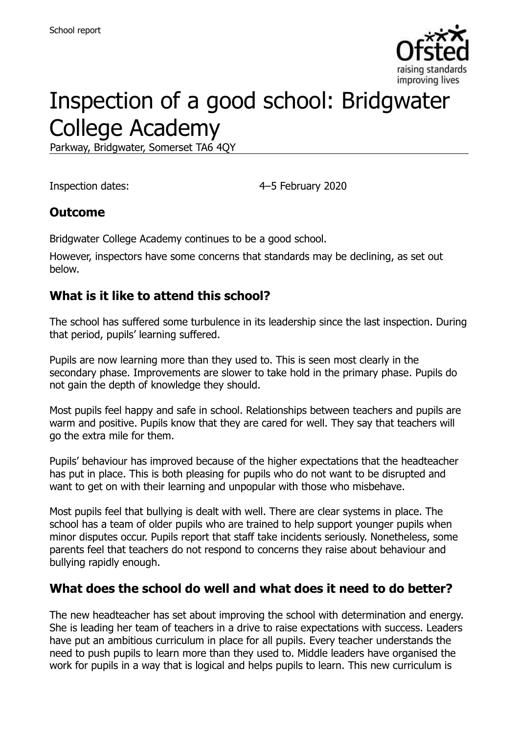

# Inspection of a good school: Bridgwater College Academy

Parkway, Bridgwater, Somerset TA6 4QY

Inspection dates: 4–5 February 2020

#### **Outcome**

Bridgwater College Academy continues to be a good school.

However, inspectors have some concerns that standards may be declining, as set out below.

### **What is it like to attend this school?**

The school has suffered some turbulence in its leadership since the last inspection. During that period, pupils' learning suffered.

Pupils are now learning more than they used to. This is seen most clearly in the secondary phase. Improvements are slower to take hold in the primary phase. Pupils do not gain the depth of knowledge they should.

Most pupils feel happy and safe in school. Relationships between teachers and pupils are warm and positive. Pupils know that they are cared for well. They say that teachers will go the extra mile for them.

Pupils' behaviour has improved because of the higher expectations that the headteacher has put in place. This is both pleasing for pupils who do not want to be disrupted and want to get on with their learning and unpopular with those who misbehave.

Most pupils feel that bullying is dealt with well. There are clear systems in place. The school has a team of older pupils who are trained to help support younger pupils when minor disputes occur. Pupils report that staff take incidents seriously. Nonetheless, some parents feel that teachers do not respond to concerns they raise about behaviour and bullying rapidly enough.

#### **What does the school do well and what does it need to do better?**

The new headteacher has set about improving the school with determination and energy. She is leading her team of teachers in a drive to raise expectations with success. Leaders have put an ambitious curriculum in place for all pupils. Every teacher understands the need to push pupils to learn more than they used to. Middle leaders have organised the work for pupils in a way that is logical and helps pupils to learn. This new curriculum is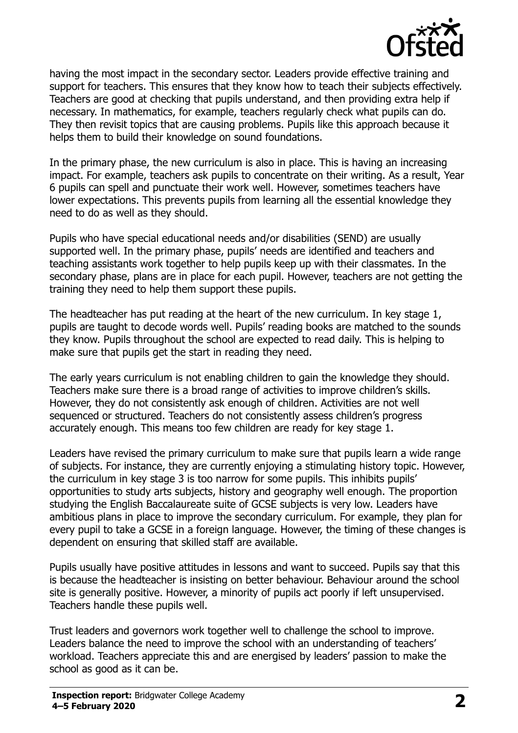

having the most impact in the secondary sector. Leaders provide effective training and support for teachers. This ensures that they know how to teach their subjects effectively. Teachers are good at checking that pupils understand, and then providing extra help if necessary. In mathematics, for example, teachers regularly check what pupils can do. They then revisit topics that are causing problems. Pupils like this approach because it helps them to build their knowledge on sound foundations.

In the primary phase, the new curriculum is also in place. This is having an increasing impact. For example, teachers ask pupils to concentrate on their writing. As a result, Year 6 pupils can spell and punctuate their work well. However, sometimes teachers have lower expectations. This prevents pupils from learning all the essential knowledge they need to do as well as they should.

Pupils who have special educational needs and/or disabilities (SEND) are usually supported well. In the primary phase, pupils' needs are identified and teachers and teaching assistants work together to help pupils keep up with their classmates. In the secondary phase, plans are in place for each pupil. However, teachers are not getting the training they need to help them support these pupils.

The headteacher has put reading at the heart of the new curriculum. In key stage 1, pupils are taught to decode words well. Pupils' reading books are matched to the sounds they know. Pupils throughout the school are expected to read daily. This is helping to make sure that pupils get the start in reading they need.

The early years curriculum is not enabling children to gain the knowledge they should. Teachers make sure there is a broad range of activities to improve children's skills. However, they do not consistently ask enough of children. Activities are not well sequenced or structured. Teachers do not consistently assess children's progress accurately enough. This means too few children are ready for key stage 1.

Leaders have revised the primary curriculum to make sure that pupils learn a wide range of subjects. For instance, they are currently enjoying a stimulating history topic. However, the curriculum in key stage 3 is too narrow for some pupils. This inhibits pupils' opportunities to study arts subjects, history and geography well enough. The proportion studying the English Baccalaureate suite of GCSE subjects is very low. Leaders have ambitious plans in place to improve the secondary curriculum. For example, they plan for every pupil to take a GCSE in a foreign language. However, the timing of these changes is dependent on ensuring that skilled staff are available.

Pupils usually have positive attitudes in lessons and want to succeed. Pupils say that this is because the headteacher is insisting on better behaviour. Behaviour around the school site is generally positive. However, a minority of pupils act poorly if left unsupervised. Teachers handle these pupils well.

Trust leaders and governors work together well to challenge the school to improve. Leaders balance the need to improve the school with an understanding of teachers' workload. Teachers appreciate this and are energised by leaders' passion to make the school as good as it can be.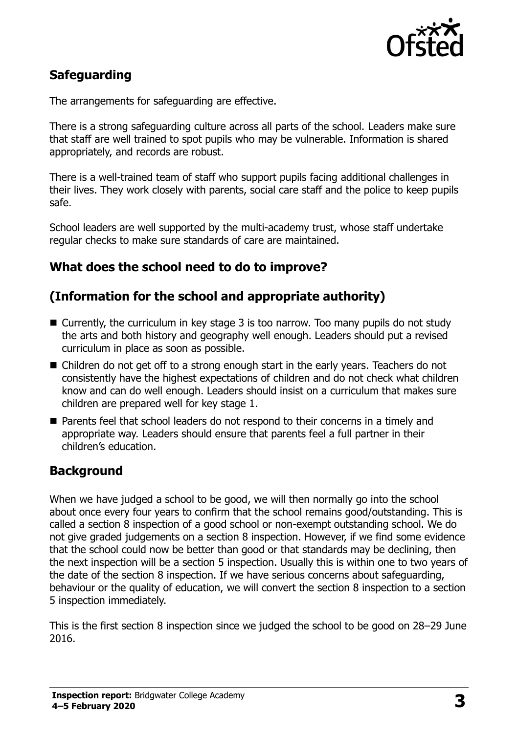

# **Safeguarding**

The arrangements for safeguarding are effective.

There is a strong safeguarding culture across all parts of the school. Leaders make sure that staff are well trained to spot pupils who may be vulnerable. Information is shared appropriately, and records are robust.

There is a well-trained team of staff who support pupils facing additional challenges in their lives. They work closely with parents, social care staff and the police to keep pupils safe.

School leaders are well supported by the multi-academy trust, whose staff undertake regular checks to make sure standards of care are maintained.

### **What does the school need to do to improve?**

### **(Information for the school and appropriate authority)**

- Currently, the curriculum in key stage 3 is too narrow. Too many pupils do not study the arts and both history and geography well enough. Leaders should put a revised curriculum in place as soon as possible.
- Children do not get off to a strong enough start in the early years. Teachers do not consistently have the highest expectations of children and do not check what children know and can do well enough. Leaders should insist on a curriculum that makes sure children are prepared well for key stage 1.
- Parents feel that school leaders do not respond to their concerns in a timely and appropriate way. Leaders should ensure that parents feel a full partner in their children's education.

# **Background**

When we have judged a school to be good, we will then normally go into the school about once every four years to confirm that the school remains good/outstanding. This is called a section 8 inspection of a good school or non-exempt outstanding school. We do not give graded judgements on a section 8 inspection. However, if we find some evidence that the school could now be better than good or that standards may be declining, then the next inspection will be a section 5 inspection. Usually this is within one to two years of the date of the section 8 inspection. If we have serious concerns about safeguarding, behaviour or the quality of education, we will convert the section 8 inspection to a section 5 inspection immediately.

This is the first section 8 inspection since we judged the school to be good on 28–29 June 2016.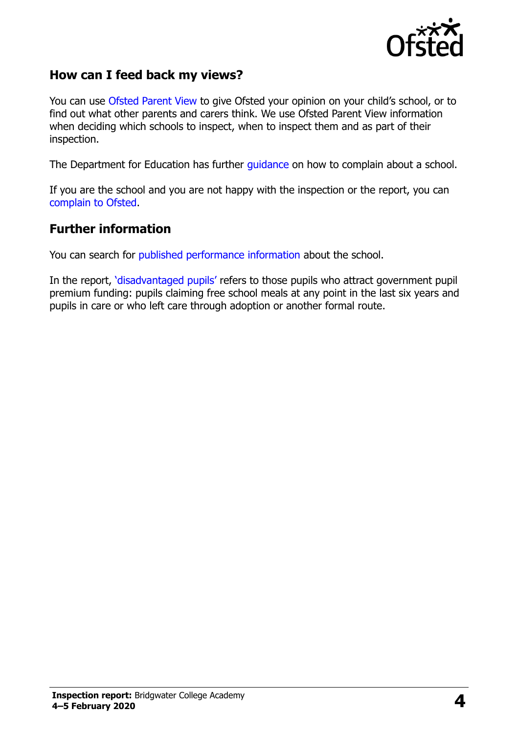

#### **How can I feed back my views?**

You can use [Ofsted Parent View](https://parentview.ofsted.gov.uk/) to give Ofsted your opinion on your child's school, or to find out what other parents and carers think. We use Ofsted Parent View information when deciding which schools to inspect, when to inspect them and as part of their inspection.

The Department for Education has further [guidance](http://www.gov.uk/complain-about-school) on how to complain about a school.

If you are the school and you are not happy with the inspection or the report, you can [complain to Ofsted.](https://www.gov.uk/complain-ofsted-report)

#### **Further information**

You can search for [published performance information](http://www.compare-school-performance.service.gov.uk/) about the school.

In the report, '[disadvantaged pupils](http://www.gov.uk/guidance/pupil-premium-information-for-schools-and-alternative-provision-settings)' refers to those pupils who attract government pupil premium funding: pupils claiming free school meals at any point in the last six years and pupils in care or who left care through adoption or another formal route.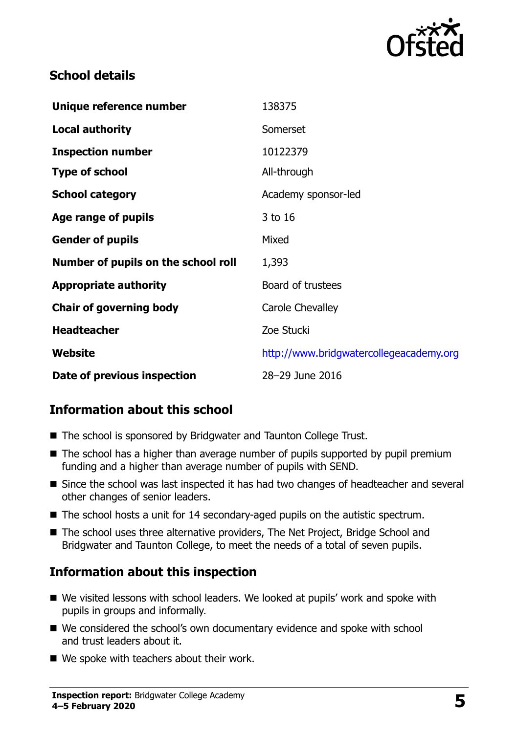

### **School details**

| Unique reference number             | 138375                                  |
|-------------------------------------|-----------------------------------------|
| <b>Local authority</b>              | Somerset                                |
| <b>Inspection number</b>            | 10122379                                |
| <b>Type of school</b>               | All-through                             |
| <b>School category</b>              | Academy sponsor-led                     |
| Age range of pupils                 | 3 to 16                                 |
| <b>Gender of pupils</b>             | Mixed                                   |
| Number of pupils on the school roll | 1,393                                   |
| <b>Appropriate authority</b>        | Board of trustees                       |
| <b>Chair of governing body</b>      | <b>Carole Chevalley</b>                 |
| <b>Headteacher</b>                  | Zoe Stucki                              |
| Website                             | http://www.bridgwatercollegeacademy.org |
| Date of previous inspection         | 28-29 June 2016                         |

# **Information about this school**

- The school is sponsored by Bridgwater and Taunton College Trust.
- $\blacksquare$  The school has a higher than average number of pupils supported by pupil premium funding and a higher than average number of pupils with SEND.
- Since the school was last inspected it has had two changes of headteacher and several other changes of senior leaders.
- The school hosts a unit for 14 secondary-aged pupils on the autistic spectrum.
- The school uses three alternative providers, The Net Project, Bridge School and Bridgwater and Taunton College, to meet the needs of a total of seven pupils.

# **Information about this inspection**

- We visited lessons with school leaders. We looked at pupils' work and spoke with pupils in groups and informally.
- We considered the school's own documentary evidence and spoke with school and trust leaders about it.
- We spoke with teachers about their work.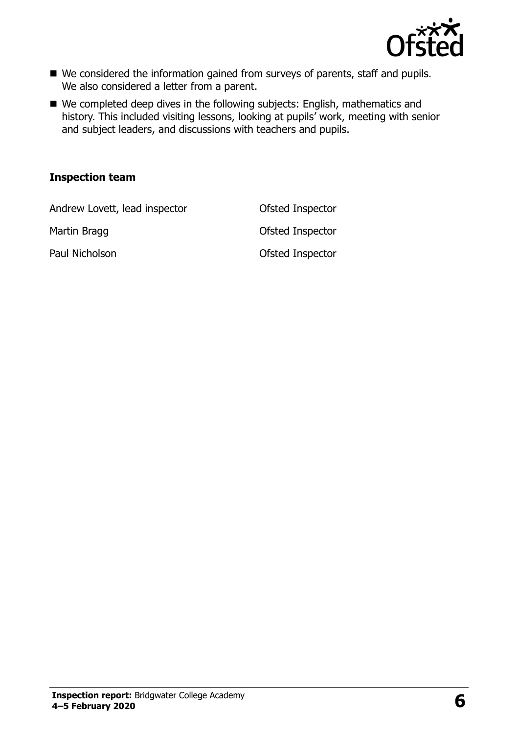

- We considered the information gained from surveys of parents, staff and pupils. We also considered a letter from a parent.
- We completed deep dives in the following subjects: English, mathematics and history. This included visiting lessons, looking at pupils' work, meeting with senior and subject leaders, and discussions with teachers and pupils.

#### **Inspection team**

Andrew Lovett, lead inspector **Ofsted Inspector** 

Martin Bragg **Construction Construction Construction** Ofsted Inspector Paul Nicholson **Districts** Ofsted Inspector